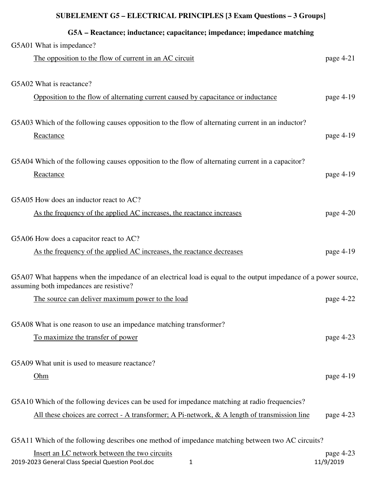| G5A – Reactance; inductance; capacitance; impedance; impedance matching                                         |             |
|-----------------------------------------------------------------------------------------------------------------|-------------|
| G5A01 What is impedance?                                                                                        |             |
| The opposition to the flow of current in an AC circuit                                                          | page $4-21$ |
|                                                                                                                 |             |
| G5A02 What is reactance?                                                                                        |             |
| Opposition to the flow of alternating current caused by capacitance or inductance                               | page 4-19   |
|                                                                                                                 |             |
| G5A03 Which of the following causes opposition to the flow of alternating current in an inductor?               |             |
| Reactance                                                                                                       | page 4-19   |
| G5A04 Which of the following causes opposition to the flow of alternating current in a capacitor?               |             |
| Reactance                                                                                                       | page 4-19   |
|                                                                                                                 |             |
| G5A05 How does an inductor react to AC?                                                                         |             |
| As the frequency of the applied AC increases, the reactance increases                                           | page 4-20   |
|                                                                                                                 |             |
| G5A06 How does a capacitor react to AC?                                                                         |             |
| As the frequency of the applied AC increases, the reactance decreases                                           | page 4-19   |
| G5A07 What happens when the impedance of an electrical load is equal to the output impedance of a power source, |             |
| assuming both impedances are resistive?                                                                         |             |
| The source can deliver maximum power to the load                                                                | page 4-22   |
|                                                                                                                 |             |
| G5A08 What is one reason to use an impedance matching transformer?                                              |             |
| To maximize the transfer of power                                                                               | page $4-23$ |
|                                                                                                                 |             |
| G5A09 What unit is used to measure reactance?                                                                   |             |
| Ohm                                                                                                             | page 4-19   |
| G5A10 Which of the following devices can be used for impedance matching at radio frequencies?                   |             |
| All these choices are correct - A transformer; A Pi-network, & A length of transmission line                    | page 4-23   |
|                                                                                                                 |             |
| G5A11 Which of the following describes one method of impedance matching between two AC circuits?                |             |
| Insert an LC network between the two circuits                                                                   | page 4-23   |
| 2019-2023 General Class Special Question Pool.doc<br>1                                                          | 11/9/2019   |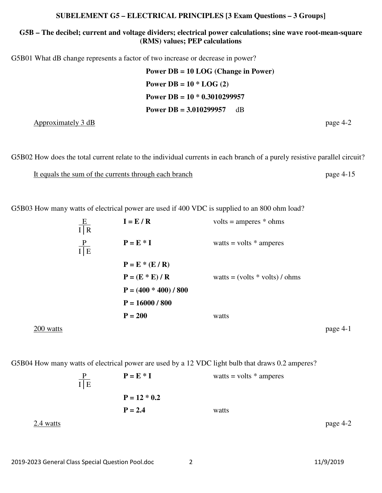#### **G5B – The decibel; current and voltage dividers; electrical power calculations; sine wave root-mean-square (RMS) values; PEP calculations**

G5B01 What dB change represents a factor of two increase or decrease in power?

**Power DB = 10 LOG (Change in Power) Power DB = 10 \* LOG (2) Power DB = 10 \* 0.3010299957 Power DB = 3.010299957** dB

 $\Delta$ pproximately 3 dB page 4-2

G5B02 How does the total current relate to the individual currents in each branch of a purely resistive parallel circuit?

It equals the sum of the currents through each branch page 4-15

G5B03 How many watts of electrical power are used if 400 VDC is supplied to an 800 ohm load?

|             | E<br>I R      | $I = E / R$             | $volts = amperes * ohms$         |          |
|-------------|---------------|-------------------------|----------------------------------|----------|
|             | $rac{P}{I E}$ | $P = E * I$             | watts = volts $*$ amperes        |          |
|             |               | $P = E * (E / R)$       |                                  |          |
|             |               | $P = (E * E) / R$       | watts = $(volts * volts) / ohms$ |          |
|             |               | $P = (400 * 400) / 800$ |                                  |          |
|             |               | $P = 16000 / 800$       |                                  |          |
|             |               | $P = 200$               | watts                            |          |
| $200$ watts |               |                         |                                  | page 4-1 |

G5B04 How many watts of electrical power are used by a 12 VDC light bulb that draws 0.2 amperes?

 $P = E * I$  watts = volts \* amperes  $\frac{P}{I|E}$  $P = 12 * 0.2$  $P = 2.4$  watts  $2.4 \text{ watts}$  page  $4-2$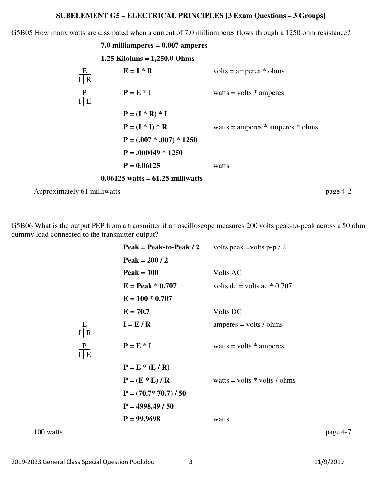G5B05 How many watts are dissipated when a current of 7.0 milliamperes flows through a 1250 ohm resistance?

|                             | 7.0 milliamperes $= 0.007$ amperes |                                      |          |
|-----------------------------|------------------------------------|--------------------------------------|----------|
|                             | 1.25 Kilohms = $1,250.0$ Ohms      |                                      |          |
| $\frac{E}{I R}$             | $E = I * R$                        | $volts = amperes * ohms$             |          |
| $rac{P}{I E}$               | $P = E * I$                        | watts = volts $*$ amperes            |          |
|                             | $P = (I * R) * I$                  |                                      |          |
|                             | $P = (I * I) * R$                  | watts = amperes $*$ amperes $*$ ohms |          |
|                             | $P = (.007 * .007) * 1250$         |                                      |          |
|                             | $P = .000049 * 1250$               |                                      |          |
|                             | $P = 0.06125$                      | watts                                |          |
|                             | $0.06125$ watts = 61.25 milliwatts |                                      |          |
| Approximately 61 milliwatts |                                    |                                      | page 4-2 |

G5B06 What is the output PEP from a transmitter if an oscilloscope measures 200 volts peak-to-peak across a 50 ohm dummy load connected to the transmitter output?

|           |                 | Peak = Peak-to-Peak $/2$                                       | volts peak =volts $p-p/2$       |          |
|-----------|-----------------|----------------------------------------------------------------|---------------------------------|----------|
|           |                 | Peak = $200/2$                                                 |                                 |          |
|           |                 | $Peak = 100$                                                   | Volts AC                        |          |
|           |                 | $E = Peak * 0.707$                                             | volts $dc = volts$ ac $*$ 0.707 |          |
|           |                 | $E = 100 * 0.707$                                              |                                 |          |
|           |                 | $E = 70.7$                                                     | Volts DC                        |          |
|           | $\frac{E}{I R}$ | $I = E / R$                                                    | $amperes = volts / ohms$        |          |
|           | $rac{P}{I E}$   | $P = E * I$                                                    | watts = volts $*$ amperes       |          |
|           |                 | $P = E * (E / R)$<br>$P = (E * E) / R$<br>$P = (70.7*70.7)/50$ | watts = volts $*$ volts / ohms  |          |
|           |                 | $P = 4998.49 / 50$                                             |                                 |          |
|           |                 | $P = 99.9698$                                                  | watts                           |          |
| 100 watts |                 |                                                                |                                 | page 4-7 |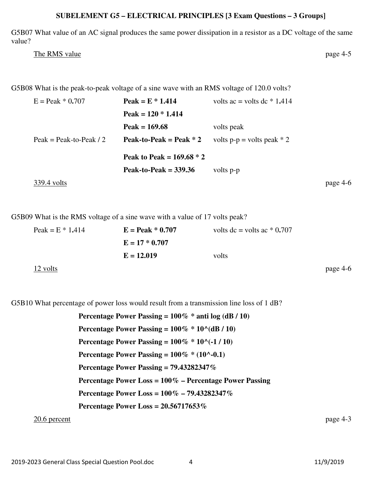G5B07 What value of an AC signal produces the same power dissipation in a resistor as a DC voltage of the same value?

The RMS value page 4-5

G5B08 What is the peak-to-peak voltage of a sine wave with an RMS voltage of 120.0 volts?

| $E =$ Peak $* 0.707$    | Peak = $E * 1.414$          | volts ac = volts dc $*$ 1.414 |          |
|-------------------------|-----------------------------|-------------------------------|----------|
|                         | Peak = $120 * 1.414$        |                               |          |
|                         | Peak = $169.68$             | volts peak                    |          |
| Peak = Peak-to-Peak / 2 | Peak-to-Peak = Peak $* 2$   | volts $p-p =$ volts peak * 2  |          |
|                         | Peak to Peak = $169.68 * 2$ |                               |          |
|                         | Peak-to-Peak $=$ 339.36     | volts p-p                     |          |
| 339.4 volts             |                             |                               | page 4-6 |

G5B09 What is the RMS voltage of a sine wave with a value of 17 volts peak?

| Peak = $E * 1.414$ | $E = Peak * 0.707$ | volts $dc =$ volts $ac * 0.707$ |          |
|--------------------|--------------------|---------------------------------|----------|
|                    | $E = 17 * 0.707$   |                                 |          |
|                    | $E = 12.019$       | volts                           |          |
| 12 volts           |                    |                                 | page 4-6 |

G5B10 What percentage of power loss would result from a transmission line loss of 1 dB?

**Percentage Power Passing = 100% \* anti log (dB / 10) Percentage Power Passing =**  $100\% * 10^(dB / 10)$ **Percentage Power Passing = 100% \* 10^(-1 / 10) Percentage Power Passing = 100% \* (10^-0.1) Percentage Power Passing = 79.43282347% Percentage Power Loss = 100% – Percentage Power Passing Percentage Power Loss = 100% – 79.43282347% Percentage Power Loss = 20.56717653%** 

20.6 percent page 4-3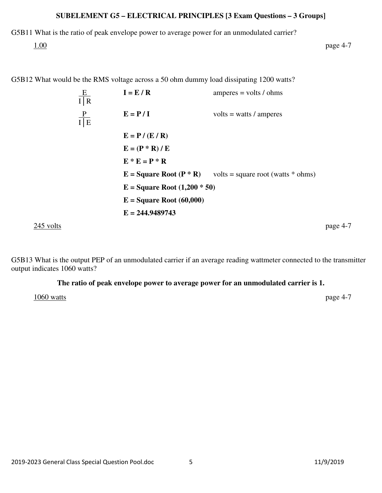G5B11 What is the ratio of peak envelope power to average power for an unmodulated carrier?

 $\frac{1.00}{2}$  page 4-7

G5B12 What would be the RMS voltage across a 50 ohm dummy load dissipating 1200 watts?

 E **I = E / R** amperes = volts / ohms I│R P **E = P / I** volts = watts / amperes I│E **E = P / (E / R) E = (P \* R) / E E \* E = P \* R E = Square Root (P \* R)** volts = square root (watts \* ohms) **E = Square Root (1,200 \* 50) E = Square Root (60,000) E = 244.9489743**  245 volts page 4-7

G5B13 What is the output PEP of an unmodulated carrier if an average reading wattmeter connected to the transmitter output indicates 1060 watts?

#### **The ratio of peak envelope power to average power for an unmodulated carrier is 1.**

1060 watts page 4-7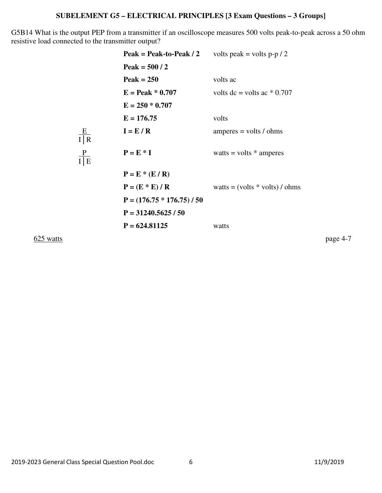G5B14 What is the output PEP from a transmitter if an oscilloscope measures 500 volts peak-to-peak across a 50 ohm resistive load connected to the transmitter output?

|                                           | Peak = Peak-to-Peak $/2$     | volts peak = volts p-p $/2$      |
|-------------------------------------------|------------------------------|----------------------------------|
|                                           | Peak = $500/2$               |                                  |
|                                           | $Peak = 250$                 | volts ac                         |
|                                           | $E = Peak * 0.707$           | volts $dc =$ volts $ac * 0.707$  |
|                                           | $E = 250 * 0.707$            |                                  |
|                                           | $E = 176.75$                 | volts                            |
| $\frac{\text{E}}{\text{I} \mid \text{R}}$ | $I = E / R$                  | $amperes = volts / ohms$         |
| $rac{P}{I E}$                             | $P = E * I$                  | watts = volts $*$ amperes        |
|                                           | $P = E * (E / R)$            |                                  |
|                                           | $P = (E * E) / R$            | watts = $(volts * volts) / ohms$ |
|                                           | $P = (176.75 * 176.75) / 50$ |                                  |
|                                           | $P = 31240.5625 / 50$        |                                  |
|                                           | $P = 624.81125$              | watts                            |
|                                           |                              |                                  |

 $625$  watts page 4-7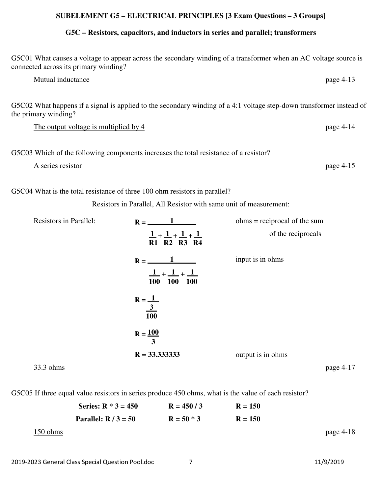#### **G5C – Resistors, capacitors, and inductors in series and parallel; transformers**

G5C01 What causes a voltage to appear across the secondary winding of a transformer when an AC voltage source is connected across its primary winding?

#### Mutual inductance page 4-13

G5C02 What happens if a signal is applied to the secondary winding of a 4:1 voltage step-down transformer instead of the primary winding?

The output voltage is multiplied by 4 page 4-14

G5C03 Which of the following components increases the total resistance of a resistor?

A series resistor page 4-15

G5C04 What is the total resistance of three 100 ohm resistors in parallel?

Resistors in Parallel, All Resistor with same unit of measurement:

| <b>Resistors in Parallel:</b> | $R =$                                           | $ohms = reciprocal of the sum$ |
|-------------------------------|-------------------------------------------------|--------------------------------|
|                               | $1 + 1 + 1 + 1$<br>R1 R2 R3 R4                  | of the reciprocals             |
|                               | $R = -$<br>$1 + 1 + 1$<br>100 100<br><b>100</b> | input is in ohms               |
|                               | $R = \underline{1}$<br>$\frac{3}{100}$          |                                |
|                               | $R = 100$<br>3                                  |                                |
|                               | $R = 33.3333333$                                | output is in ohms              |
| 33.3 ohms                     |                                                 | page 4-17                      |

G5C05 If three equal value resistors in series produce 450 ohms, what is the value of each resistor?

|          | Series: $R * 3 = 450$  | $R = 450/3$  | $R = 150$ |           |
|----------|------------------------|--------------|-----------|-----------|
|          | Parallel: $R / 3 = 50$ | $R = 50 * 3$ | $R = 150$ |           |
| 150 ohms |                        |              |           | page 4-18 |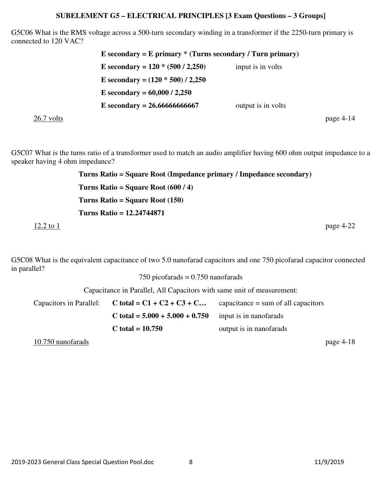G5C06 What is the RMS voltage across a 500-turn secondary winding in a transformer if the 2250-turn primary is connected to 120 VAC?

**E secondary = E primary \* (Turns secondary / Turn primary) E** secondary =  $120 * (500 / 2,250)$  input is in volts **E secondary = (120 \* 500) / 2,250 E secondary = 60,000 / 2,250**   $\mathbf{E}$  **secondary = 26.666666666667** output is in volts  $26.7$  volts page  $4-14$ 

G5C07 What is the turns ratio of a transformer used to match an audio amplifier having 600 ohm output impedance to a speaker having 4 ohm impedance?

**Turns Ratio = Square Root (Impedance primary / Impedance secondary) Turns Ratio = Square Root (600 / 4) Turns Ratio = Square Root (150) Turns Ratio = 12.24744871**   $\frac{12.2 \text{ to } 1}{2}$  page 4-22

G5C08 What is the equivalent capacitance of two 5.0 nanofarad capacitors and one 750 picofarad capacitor connected in parallel?

750 picofarads = 0.750 nanofarads

Capacitance in Parallel, All Capacitors with same unit of measurement:

| Capacitors in Parallel: $C \text{ total} = C1 + C2 + C3 + C$ | capacitance $=$ sum of all capacitors |
|--------------------------------------------------------------|---------------------------------------|
| C total = $5.000 + 5.000 + 0.750$                            | input is in nanofarads                |
| C total = $10.750$                                           | output is in nanofarads               |

10.750 nanofarads page 4-18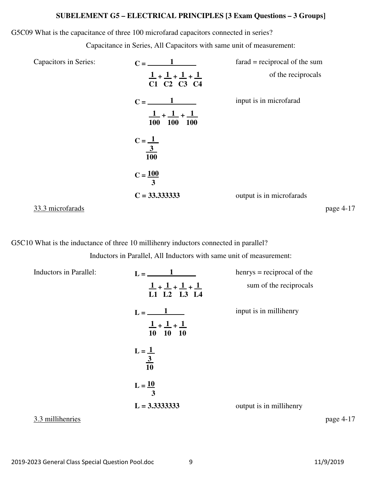#### G5C09 What is the capacitance of three 100 microfarad capacitors connected in series?

Capacitance in Series, All Capacitors with same unit of measurement:

| Capacitors in Series: | $C =$                               | $\text{farad} = \text{reciprocal}$ of the sum |
|-----------------------|-------------------------------------|-----------------------------------------------|
|                       | $1 + 1 + 1 + 1$<br>C1 C2 C3 C4      | of the reciprocals                            |
|                       | $C =$<br>$1 + 1 + 1$<br>100 100 100 | input is in microfarad                        |
|                       | $C = \frac{1}{\frac{3}{100}}$       |                                               |
|                       | $C = 100$<br>3                      |                                               |
|                       | $C = 33.3333333$                    | output is in microfarads                      |
| 33.3 microfarads      |                                     | page 4-17                                     |

G5C10 What is the inductance of three 10 millihenry inductors connected in parallel?

Inductors in Parallel, All Inductors with same unit of measurement:

| Inductors in Parallel: |                                                                      | $h$ enrys = reciprocal of the |
|------------------------|----------------------------------------------------------------------|-------------------------------|
|                        | $1 + 1 + 1 + 1$<br>L1 L2 L3 L4                                       | sum of the reciprocals        |
|                        | $L = \underline{\qquad \qquad 1}$<br>$1 + 1 + 1$<br>$10 \t 10 \t 10$ | input is in millihenry        |
|                        | $L = \underline{1}$<br>$\frac{3}{10}$                                |                               |
|                        | $L = \underline{10}$<br>3                                            |                               |
|                        | $L = 3.33333333$                                                     | output is in millihenry       |
| 3.3 millihenries       |                                                                      | page 4-17                     |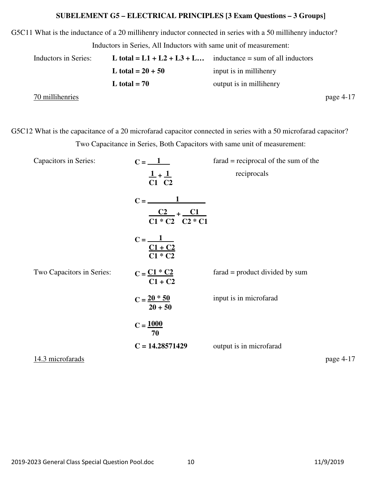G5C11 What is the inductance of a 20 millihenry inductor connected in series with a 50 millihenry inductor?

|  | Inductors in Series, All Inductors with same unit of measurement: |  |
|--|-------------------------------------------------------------------|--|
|  |                                                                   |  |

| Inductors in Series: |                     | L total = $L1 + L2 + L3 + L$ inductance = sum of all inductors |           |
|----------------------|---------------------|----------------------------------------------------------------|-----------|
|                      | L total = $20 + 50$ | input is in millihenry                                         |           |
|                      | L total $= 70$      | output is in millihenry                                        |           |
| 70 millihenries      |                     |                                                                | page 4-17 |

G5C12 What is the capacitance of a 20 microfarad capacitor connected in series with a 50 microfarad capacitor? Two Capacitance in Series, Both Capacitors with same unit of measurement:

| <b>Capacitors in Series:</b> | $C = \_1$                                                      | $\text{farad} = \text{reciprocal}$ of the sum of the |           |
|------------------------------|----------------------------------------------------------------|------------------------------------------------------|-----------|
|                              | $\frac{1}{C1} + \frac{1}{C2}$                                  | reciprocals                                          |           |
|                              | $C2 + C1$<br>$C1 * C2 C2 * C1$                                 |                                                      |           |
|                              | $C = \underline{\qquad \qquad 1}$<br>$\frac{C1 + C2}{C1 * C2}$ |                                                      |           |
| Two Capacitors in Series:    | $C = \frac{C1 * C2}{C}$<br>$C1 + C2$                           | $\text{farad} = \text{product divided by sum}$       |           |
|                              | $C = \frac{20 * 50}{50}$<br>$20 + 50$                          | input is in microfarad                               |           |
|                              | $C = 1000$<br>70                                               |                                                      |           |
|                              | $C = 14.28571429$                                              | output is in microfarad                              |           |
| 14.3 microfarads             |                                                                |                                                      | page 4-17 |
|                              |                                                                |                                                      |           |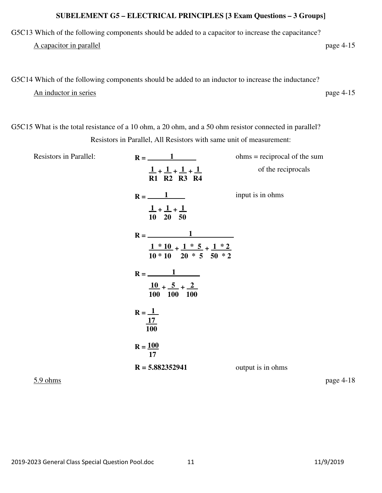G5C13 Which of the following components should be added to a capacitor to increase the capacitance?

A capacitor in parallel page 4-15

# G5C14 Which of the following components should be added to an inductor to increase the inductance? An inductor in series page 4-15

G5C15 What is the total resistance of a 10 ohm, a 20 ohm, and a 50 ohm resistor connected in parallel? Resistors in Parallel, All Resistors with same unit of measurement:

| <b>Resistors in Parallel:</b> | $R = \underline{\hspace{2cm}} 1$                                                                  | $ohms = reciprocal of the sum$ |
|-------------------------------|---------------------------------------------------------------------------------------------------|--------------------------------|
|                               | $1 + 1 + 1 + 1$<br>R1 R2 R3 R4                                                                    | of the reciprocals             |
|                               | $R = \underline{\qquad \qquad 1}$<br>$1 + 1 + 1$<br>$10$ 20 50                                    | input is in ohms               |
|                               | $R = \_$<br>$1 * 10 + 1 * 5 + 1 * 2$<br>$10 * 10$ 20 $*$ 5 50 $*$ 2                               |                                |
|                               | $R = \underline{\qquad \qquad 1}$<br>$\frac{10}{2} + \frac{5}{2} + \frac{2}{2}$<br>100 100<br>100 |                                |
|                               | $R = \underline{1}$<br>17<br>100                                                                  |                                |
|                               | $R = \frac{100}{100}$<br>17                                                                       |                                |
|                               | $R = 5.882352941$                                                                                 | output is in ohms              |

5.9 ohms page 4-18